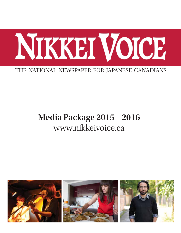

### **Media Package 2015 – 2016** www.nikkeivoice.ca

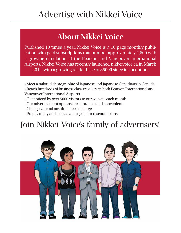## Advertise with Nikkei Voice

### **About Nikkei Voice**

Published 10 times a year, Nikkei Voice is a 16 page monthly publication with paid subscriptions that number approximately 1,600 with a growing circulation at the Pearson and Vancouver International Airports. Nikkei Voice has recently launched nikkeivoice.ca in March 2014, with a growing reader base of 85000 since its inception.

- → Meet a tailored demographic of Japanese and Japanese Canadians in Canada
- → Reach hundreds of business class travelers in both Pearson International and Vancouver International Airports
- → Get noticed by over 5000 visitors to our website each month
- → Our advertisement options are affordable and convenient
- → Change your ad any time free of charge
- → Prepay today and take advantage of our discount plans

# Join Nikkei Voice's family of advertisers!

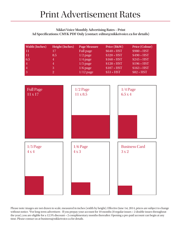#### **Nikkei Voice Monthly Advertising Rates – Print Ad Specifications: CMYK PDF Only (contact: editor@nikkeivoice.ca for details)**

| <b>Width (Inches)</b> | <b>Height (Inches)</b> | <b>Page Measure</b> | Price (B&W)  | Price (Colour) |
|-----------------------|------------------------|---------------------|--------------|----------------|
| $\overline{11}$       | 17                     | Full page           | $$640 + HST$ | $$980 + HST$   |
| -11                   | 8.5                    | $1/2$ page          | $$320 + HST$ | $$490 + HST$   |
| 6.5                   | 4                      | $1/4$ page          | $$160 + HST$ | $$245 + HST$   |
| $\overline{4}$        | 4                      | $1/5$ page          | $$128 + HST$ | $$196 + HST$   |
| $\overline{4}$        | 3                      | $1/6$ page          | $$107 + HST$ | $$163 + HST$   |
| 3                     | 2                      | $1/12$ page         | $$53 + HST$  | $$82 + HST$    |



Please note: images are not drawn to scale, measured in inches (width by height). Effective June 1st, 2014, prices are subject to change without notice. \*For long-term advertisers - If you prepay your account for 10 months (8 regular issues + 2 double issues throughout the year), you are eligible for a 12.5% discount + 2 complimentary months thereafter. Opening a pre-paid account can begin at any time. Please contact us at business@nikkeivoice.ca for details.